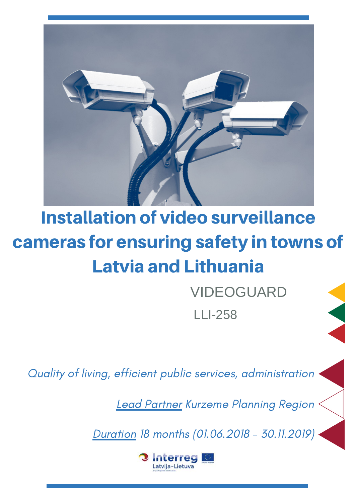

# Installation of video surveillance cameras for ensuring safety in towns of Latvia and Lithuania

VIDEOGUARD LLI-258

Quality of living, efficient public services, administration

Lead Partner Kurzeme Planning Region

Duration 18 months (01.06.2018 - 30.11.2019)

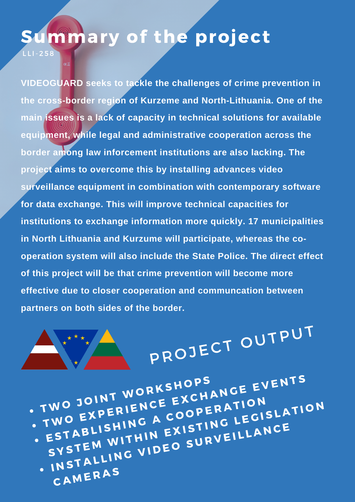### ummary of the project

L L I - 258

**VIDEOGUARD seeks to tackle the challenges of crime prevention in the cross-border region of Kurzeme and North-Lithuania. One of the main issues is a lack of capacity in technical solutions for available equipment, while legal and administrative cooperation across the border among law inforcement institutions are also lacking. The project aims to overcome this by installing advances video surveillance equipment in combination with contemporary software for data exchange. This will improve technical capacities for institutions to exchange information more quickly. 17 municipalities in North Lithuania and Kurzume will participate, whereas the cooperation system will also include the State Police. The direct effect of this project will be that crime prevention will become more effective due to closer cooperation and communcation between partners on both sides of the border.**



PROJECT OUTPUT

TWO JOINT WORKSHOPS TWO JOINT WORKSHOPS<br>TWO EXPERIENCE EXCHANGE EVENTS<br>TWO EXPERIENC A COOPERATION • ESTABLISHING A COOPERATION WO JOIN' LENCE EXCHATION<br>WO EXPERIENC A COOPERATION<br>ESTABLISHING A EXISTING LEGISLATION<br>SYSTEM WITHIN EXISTING LEGISLANCE STABLISHING EXISTING LIANCE **CAMERAS**